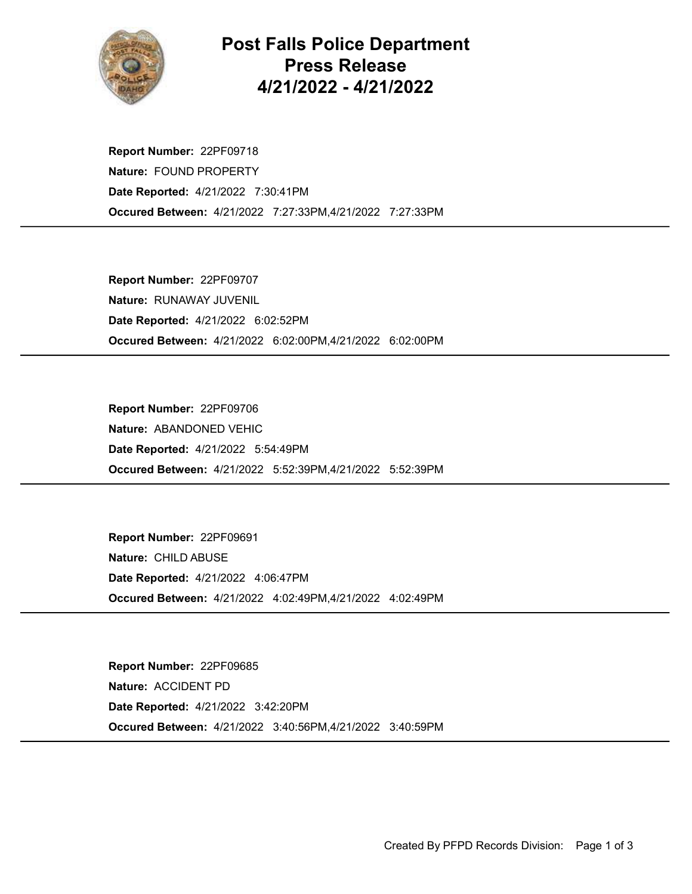

## Post Falls Police Department Press Release 4/21/2022 - 4/21/2022

Occured Between: 4/21/2022 7:27:33PM,4/21/2022 7:27:33PM Report Number: 22PF09718 Nature: FOUND PROPERTY Date Reported: 4/21/2022 7:30:41PM

Occured Between: 4/21/2022 6:02:00PM,4/21/2022 6:02:00PM Report Number: 22PF09707 Nature: RUNAWAY JUVENIL Date Reported: 4/21/2022 6:02:52PM

Occured Between: 4/21/2022 5:52:39PM,4/21/2022 5:52:39PM Report Number: 22PF09706 Nature: ABANDONED VEHIC Date Reported: 4/21/2022 5:54:49PM

Occured Between: 4/21/2022 4:02:49PM,4/21/2022 4:02:49PM Report Number: 22PF09691 Nature: CHILD ABUSE Date Reported: 4/21/2022 4:06:47PM

Occured Between: 4/21/2022 3:40:56PM,4/21/2022 3:40:59PM Report Number: 22PF09685 Nature: ACCIDENT PD Date Reported: 4/21/2022 3:42:20PM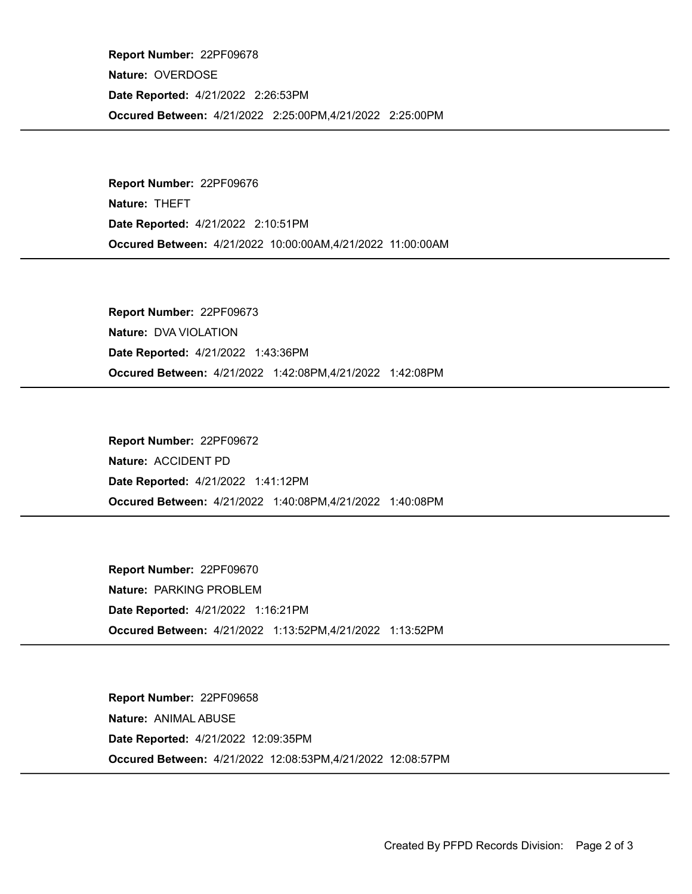Occured Between: 4/21/2022 2:25:00PM,4/21/2022 2:25:00PM Report Number: 22PF09678 Nature: OVERDOSE Date Reported: 4/21/2022 2:26:53PM

Occured Between: 4/21/2022 10:00:00AM,4/21/2022 11:00:00AM Report Number: 22PF09676 Nature: THEFT Date Reported: 4/21/2022 2:10:51PM

Occured Between: 4/21/2022 1:42:08PM,4/21/2022 1:42:08PM Report Number: 22PF09673 Nature: DVA VIOLATION Date Reported: 4/21/2022 1:43:36PM

Occured Between: 4/21/2022 1:40:08PM,4/21/2022 1:40:08PM Report Number: 22PF09672 Nature: ACCIDENT PD Date Reported: 4/21/2022 1:41:12PM

Occured Between: 4/21/2022 1:13:52PM,4/21/2022 1:13:52PM Report Number: 22PF09670 Nature: PARKING PROBLEM Date Reported: 4/21/2022 1:16:21PM

Occured Between: 4/21/2022 12:08:53PM,4/21/2022 12:08:57PM Report Number: 22PF09658 Nature: ANIMAL ABUSE Date Reported: 4/21/2022 12:09:35PM